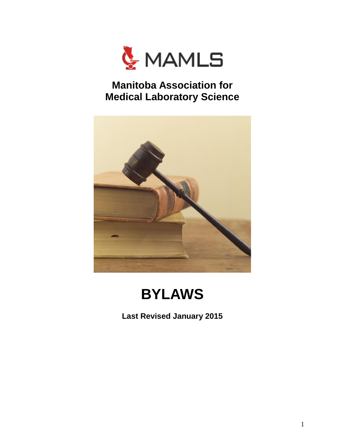

## **Manitoba Association for Medical Laboratory Science**



## **BYLAWS**

**Last Revised January 2015**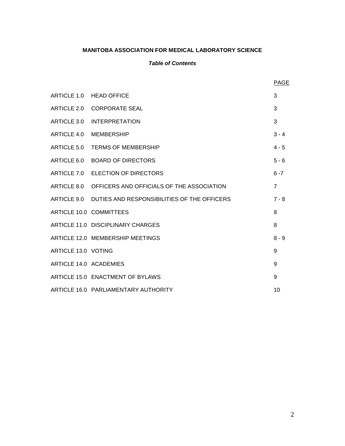## **MANITOBA ASSOCIATION FOR MEDICAL LABORATORY SCIENCE**

## *Table of Contents*

|                        |                                                         | PAGE           |
|------------------------|---------------------------------------------------------|----------------|
|                        | ARTICLE 1.0 HEAD OFFICE                                 | 3              |
|                        | ARTICLE 2.0 CORPORATE SEAL                              | 3              |
| ARTICLE 3.0            | <b>INTERPRETATION</b>                                   | 3              |
| ARTICLE 4.0            | MEMBERSHIP                                              | $3 - 4$        |
| ARTICLE 5.0            | <b>TERMS OF MEMBERSHIP</b>                              | $4 - 5$        |
|                        | ARTICLE 6.0 BOARD OF DIRECTORS                          | $5 - 6$        |
|                        | ARTICLE 7.0 ELECTION OF DIRECTORS                       | $6 - 7$        |
|                        | ARTICLE 8.0 OFFICERS AND OFFICIALS OF THE ASSOCIATION   | $\overline{7}$ |
|                        | ARTICLE 9.0 DUTIES AND RESPONSIBILITIES OF THE OFFICERS | $7 - 8$        |
|                        | ARTICLE 10.0 COMMITTEES                                 | 8              |
|                        | ARTICLE 11.0 DISCIPLINARY CHARGES                       | 8              |
|                        | ARTICLE 12.0 MEMBERSHIP MEETINGS                        | $8 - 9$        |
| ARTICLE 13.0 VOTING    |                                                         | 9              |
| ARTICLE 14.0 ACADEMIES |                                                         | 9              |
|                        | ARTICLE 15.0 ENACTMENT OF BYLAWS                        | 9              |
|                        | ARTICLE 16.0 PARLIAMENTARY AUTHORITY                    | 10             |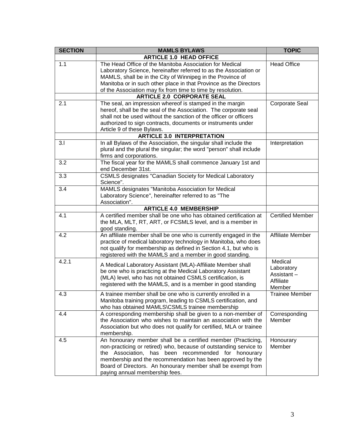| <b>SECTION</b> | <b>MAMLS BYLAWS</b>                                                                                                                                                                                                                                                                                                                                         | <b>TOPIC</b>                                               |
|----------------|-------------------------------------------------------------------------------------------------------------------------------------------------------------------------------------------------------------------------------------------------------------------------------------------------------------------------------------------------------------|------------------------------------------------------------|
|                | <b>ARTICLE 1.0 HEAD OFFICE</b>                                                                                                                                                                                                                                                                                                                              |                                                            |
| 1.1            | The Head Office of the Manitoba Association for Medical<br>Laboratory Science, hereinafter referred to as the Association or<br>MAMLS, shall be in the City of Winnipeg in the Province of<br>Manitoba or in such other place in that Province as the Directors<br>of the Association may fix from time to time by resolution.                              | <b>Head Office</b>                                         |
|                | <b>ARTICLE 2.0 CORPORATE SEAL</b>                                                                                                                                                                                                                                                                                                                           |                                                            |
| 2.1            | The seal, an impression whereof is stamped in the margin<br>hereof, shall be the seal of the Association. The corporate seal<br>shall not be used without the sanction of the officer or officers<br>authorized to sign contracts, documents or instruments under<br>Article 9 of these Bylaws.                                                             | Corporate Seal                                             |
|                | <b>ARTICLE 3.0 INTERPRETATION</b>                                                                                                                                                                                                                                                                                                                           |                                                            |
| 3.1            | In all Bylaws of the Association, the singular shall include the<br>plural and the plural the singular; the word "person" shall include<br>firms and corporations.                                                                                                                                                                                          | Interpretation                                             |
| 3.2            | The fiscal year for the MAMLS shall commence January 1st and<br>end December 31st.                                                                                                                                                                                                                                                                          |                                                            |
| 3.3            | <b>CSMLS designates "Canadian Society for Medical Laboratory</b><br>Science".                                                                                                                                                                                                                                                                               |                                                            |
| 3.4            | MAMLS designates "Manitoba Association for Medical<br>Laboratory Science", hereinafter referred to as "The<br>Association".                                                                                                                                                                                                                                 |                                                            |
|                | <b>ARTICLE 4.0 MEMBERSHIP</b>                                                                                                                                                                                                                                                                                                                               |                                                            |
| 4.1            | A certified member shall be one who has obtained certification at<br>the MLA, MLT, RT, ART, or FCSMLS level, and is a member in<br>good standing.                                                                                                                                                                                                           | <b>Certified Member</b>                                    |
| 4.2            | An affiliate member shall be one who is currently engaged in the<br>practice of medical laboratory technology in Manitoba, who does<br>not qualify for membership as defined in Section 4.1, but who is<br>registered with the MAMLS and a member in good standing.                                                                                         | <b>Affiliate Member</b>                                    |
| 4.2.1          | A Medical Laboratory Assistant (MLA)-Affiliate Member shall<br>be one who is practicing at the Medical Laboratory Assistant<br>(MLA) level, who has not obtained CSMLS certification, is<br>registered with the MAMLS, and is a member in good standing                                                                                                     | Medical<br>Laboratory<br>Assistant-<br>Affiliate<br>Member |
| 4.3            | A trainee member shall be one who is currently enrolled in a<br>Manitoba training program, leading to CSMLS certification, and<br>who has obtained MAMLS\CSMLS trainee membership                                                                                                                                                                           | <b>Trainee Member</b>                                      |
| 4.4            | A corresponding membership shall be given to a non-member of<br>the Association who wishes to maintain an association with the<br>Association but who does not qualify for certified, MLA or trainee<br>membership.                                                                                                                                         | Corresponding<br>Member                                    |
| 4.5            | An honourary member shall be a certified member (Practicing,<br>non-practicing or retired) who, because of outstanding service to<br>Association, has been recommended for honourary<br>the<br>membership and the recommendation has been approved by the<br>Board of Directors. An honourary member shall be exempt from<br>paying annual membership fees. | Honourary<br>Member                                        |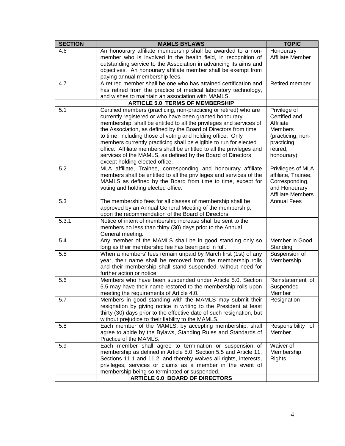| <b>SECTION</b> | <b>MAMLS BYLAWS</b>                                                                                                                                                                                                                                                                                                                                                                                                                                                                                                                                                                  | <b>TOPIC</b>                                                                                                        |
|----------------|--------------------------------------------------------------------------------------------------------------------------------------------------------------------------------------------------------------------------------------------------------------------------------------------------------------------------------------------------------------------------------------------------------------------------------------------------------------------------------------------------------------------------------------------------------------------------------------|---------------------------------------------------------------------------------------------------------------------|
| 4.6            | An honourary affiliate membership shall be awarded to a non-<br>member who is involved in the health field, in recognition of<br>outstanding service to the Association in advancing its aims and<br>objectives. An honourary affiliate member shall be exempt from<br>paying annual membership fees.                                                                                                                                                                                                                                                                                | Honourary<br><b>Affiliate Member</b>                                                                                |
| 4.7            | A retired member shall be one who has attained certification and<br>has retired from the practice of medical laboratory technology,<br>and wishes to maintain an association with MAMLS.                                                                                                                                                                                                                                                                                                                                                                                             | Retired member                                                                                                      |
|                | <b>ARTICLE 5.0 TERMS OF MEMBERSHIP</b>                                                                                                                                                                                                                                                                                                                                                                                                                                                                                                                                               |                                                                                                                     |
| 5.1            | Certified members (practicing, non-practicing or retired) who are<br>currently registered or who have been granted honourary<br>membership, shall be entitled to all the privileges and services of<br>the Association, as defined by the Board of Directors from time<br>to time, including those of voting and holding office. Only<br>members currently practicing shall be eligible to run for elected<br>office. Affiliate members shall be entitled to all the privileges and<br>services of the MAMLS, as defined by the Board of Directors<br>except holding elected office. | Privilege of<br>Certified and<br>Affiliate<br>Members<br>(practicing, non-<br>practicing,<br>retired,<br>honourary) |
| 5.2            | MLA affiliate, Trainee, corresponding and honourary affiliate<br>members shall be entitled to all the privileges and services of the<br>MAMLS as defined by the Board from time to time, except for<br>voting and holding elected office.                                                                                                                                                                                                                                                                                                                                            | Privileges of MLA<br>affiliate, Trainee,<br>Corresponding,<br>and Honourary<br><b>Affiliate Members</b>             |
| 5.3            | The membership fees for all classes of membership shall be<br>approved by an Annual General Meeting of the membership,<br>upon the recommendation of the Board of Directors.                                                                                                                                                                                                                                                                                                                                                                                                         | <b>Annual Fees</b>                                                                                                  |
| 5.3.1          | Notice of intent of membership increase shall be sent to the<br>members no less than thirty (30) days prior to the Annual<br>General meeting.                                                                                                                                                                                                                                                                                                                                                                                                                                        |                                                                                                                     |
| 5.4            | Any member of the MAMLS shall be in good standing only so<br>long as their membership fee has been paid in full.                                                                                                                                                                                                                                                                                                                                                                                                                                                                     | Member in Good<br>Standing                                                                                          |
| 5.5            | When a members' fees remain unpaid by March first (1st) of any<br>year, their name shall be removed from the membership rolls<br>and their membership shall stand suspended, without need for<br>further action or notice.                                                                                                                                                                                                                                                                                                                                                           | Suspension of<br>Membership                                                                                         |
| 5.6            | Members who have been suspended under Article 5.0, Section<br>5.5 may have their name restored to the membership rolls upon<br>meeting the requirements of Article 4.0.                                                                                                                                                                                                                                                                                                                                                                                                              | Reinstatement of<br>Suspended<br>Member                                                                             |
| 5.7            | Members in good standing with the MAMLS may submit their<br>resignation by giving notice in writing to the President at least<br>thirty (30) days prior to the effective date of such resignation, but<br>without prejudice to their liability to the MAMLS.                                                                                                                                                                                                                                                                                                                         | Resignation                                                                                                         |
| 5.8            | Each member of the MAMLS, by accepting membership, shall<br>agree to abide by the Bylaws, Standing Rules and Standards of<br>Practice of the MAMLS.                                                                                                                                                                                                                                                                                                                                                                                                                                  | Responsibility of<br>Member                                                                                         |
| 5.9            | Each member shall agree to termination or suspension of<br>membership as defined in Article 5.0, Section 5.5 and Article 11,<br>Sections 11.1 and 11.2, and thereby waives all rights, interests,<br>privileges, services or claims as a member in the event of<br>membership being so terminated or suspended.<br><b>ARTICLE 6.0 BOARD OF DIRECTORS</b>                                                                                                                                                                                                                             | Waiver of<br>Membership<br><b>Rights</b>                                                                            |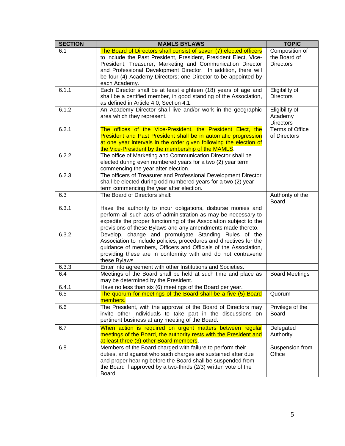| <b>SECTION</b> | <b>MAMLS BYLAWS</b>                                                                                                                                                                                                                                                                                                                                       | <b>TOPIC</b>                                       |
|----------------|-----------------------------------------------------------------------------------------------------------------------------------------------------------------------------------------------------------------------------------------------------------------------------------------------------------------------------------------------------------|----------------------------------------------------|
| 6.1            | The Board of Directors shall consist of seven (7) elected officers<br>to include the Past President, President, President Elect, Vice-<br>President, Treasurer, Marketing and Communication Director<br>and Professional Development Director. In addition, there will<br>be four (4) Academy Directors; one Director to be appointed by<br>each Academy. | Composition of<br>the Board of<br><b>Directors</b> |
| 6.1.1          | Each Director shall be at least eighteen (18) years of age and<br>shall be a certified member, in good standing of the Association,<br>as defined in Article 4.0, Section 4.1.                                                                                                                                                                            | Eligibility of<br><b>Directors</b>                 |
| 6.1.2          | An Academy Director shall live and/or work in the geographic<br>area which they represent.                                                                                                                                                                                                                                                                | Eligibility of<br>Academy<br><b>Directors</b>      |
| 6.2.1          | The offices of the Vice-President, the President Elect, the<br><b>President and Past President shall be in automatic progression</b><br>at one year intervals in the order given following the election of<br>the Vice-President by the membership of the MAMLS.                                                                                          | Terms of Office<br>of Directors                    |
| 6.2.2          | The office of Marketing and Communication Director shall be<br>elected during even numbered years for a two (2) year term<br>commencing the year after election.                                                                                                                                                                                          |                                                    |
| 6.2.3          | The officers of Treasurer and Professional Development Director<br>shall be elected during odd numbered years for a two (2) year<br>term commencing the year after election.                                                                                                                                                                              |                                                    |
| 6.3            | The Board of Directors shall:                                                                                                                                                                                                                                                                                                                             | Authority of the<br><b>Board</b>                   |
| 6.3.1          | Have the authority to incur obligations, disburse monies and<br>perform all such acts of administration as may be necessary to<br>expedite the proper functioning of the Association subject to the<br>provisions of these Bylaws and any amendments made thereto.                                                                                        |                                                    |
| 6.3.2          | Develop, change and promulgate Standing Rules of the<br>Association to include policies, procedures and directives for the<br>guidance of members, Officers and Officials of the Association,<br>providing these are in conformity with and do not contravene<br>these Bylaws.                                                                            |                                                    |
| 6.3.3          | Enter into agreement with other Institutions and Societies.                                                                                                                                                                                                                                                                                               |                                                    |
| 6.4            | Meetings of the Board shall be held at such time and place as<br>may be determined by the President.                                                                                                                                                                                                                                                      | <b>Board Meetings</b>                              |
| 6.4.1          | Have no less than six (6) meetings of the Board per year.                                                                                                                                                                                                                                                                                                 |                                                    |
| 6.5            | The quorum for meetings of the Board shall be a five (5) Board<br>members.                                                                                                                                                                                                                                                                                | Quorum                                             |
| 6.6            | The President, with the approval of the Board of Directors may<br>invite other individuals to take part in the discussions on<br>pertinent business at any meeting of the Board.                                                                                                                                                                          | Privilege of the<br><b>Board</b>                   |
| 6.7            | When action is required on urgent matters between regular<br>meetings of the Board, the authority rests with the President and<br>at least three (3) other Board members.                                                                                                                                                                                 | Delegated<br>Authority                             |
| 6.8            | Members of the Board charged with failure to perform their<br>duties, and against who such charges are sustained after due<br>and proper hearing before the Board shall be suspended from<br>the Board if approved by a two-thirds (2/3) written vote of the<br>Board.                                                                                    | Suspension from<br>Office                          |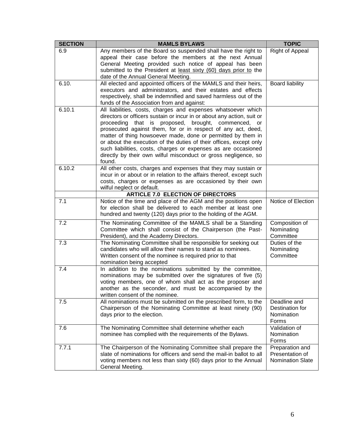| <b>SECTION</b> | <b>MAMLS BYLAWS</b>                                                                                                                      | <b>TOPIC</b>                               |
|----------------|------------------------------------------------------------------------------------------------------------------------------------------|--------------------------------------------|
| 6.9            | Any members of the Board so suspended shall have the right to                                                                            | Right of Appeal                            |
|                | appeal their case before the members at the next Annual                                                                                  |                                            |
|                | General Meeting provided such notice of appeal has been<br>submitted to the President at least sixty (60) days prior to the              |                                            |
|                | date of the Annual General Meeting.                                                                                                      |                                            |
| 6.10.          | All elected and appointed officers of the MAMLS and their heirs,                                                                         | <b>Board liability</b>                     |
|                | executors and administrators, and their estates and effects                                                                              |                                            |
|                | respectively, shall be indemnified and saved harmless out of the                                                                         |                                            |
| 6.10.1         | funds of the Association from and against:<br>All liabilities, costs, charges and expenses whatsoever which                              |                                            |
|                | directors or officers sustain or incur in or about any action, suit or                                                                   |                                            |
|                | proceeding that is proposed,<br>brought, commenced,<br>or                                                                                |                                            |
|                | prosecuted against them, for or in respect of any act, deed,                                                                             |                                            |
|                | matter of thing howsoever made, done or permitted by them in                                                                             |                                            |
|                | or about the execution of the duties of their offices, except only<br>such liabilities, costs, charges or expenses as are occasioned     |                                            |
|                | directly by their own wilful misconduct or gross negligence, so                                                                          |                                            |
|                | found.                                                                                                                                   |                                            |
| 6.10.2         | All other costs, charges and expenses that they may sustain or                                                                           |                                            |
|                | incur in or about or in relation to the affairs thereof, except such                                                                     |                                            |
|                | costs, charges or expenses as are occasioned by their own<br>wilful neglect or default.                                                  |                                            |
|                | <b>ARTICLE 7.0 ELECTION OF DIRECTORS</b>                                                                                                 |                                            |
| 7.1            | Notice of the time and place of the AGM and the positions open                                                                           | Notice of Election                         |
|                | for election shall be delivered to each member at least one                                                                              |                                            |
|                | hundred and twenty (120) days prior to the holding of the AGM.                                                                           |                                            |
| 7.2            | The Nominating Committee of the MAMLS shall be a Standing                                                                                | Composition of                             |
|                | Committee which shall consist of the Chairperson (the Past-                                                                              | Nominating<br>Committee                    |
| 7.3            | President), and the Academy Directors.<br>The Nominating Committee shall be responsible for seeking out                                  | Duties of the                              |
|                | candidates who will allow their names to stand as nominees.                                                                              | Nominating                                 |
|                | Written consent of the nominee is required prior to that                                                                                 | Committee                                  |
|                | nomination being accepted                                                                                                                |                                            |
| 7.4            | In addition to the nominations submitted by the committee,                                                                               |                                            |
|                | nominations may be submitted over the signatures of five (5)<br>voting members, one of whom shall act as the proposer and                |                                            |
|                | another as the seconder, and must be accompanied by the                                                                                  |                                            |
|                | written consent of the nominee.                                                                                                          |                                            |
| 7.5            | All nominations must be submitted on the prescribed form, to the                                                                         | Deadline and                               |
|                | Chairperson of the Nominating Committee at least ninety (90)                                                                             | Destination for                            |
|                | days prior to the election.                                                                                                              | Nomination<br>Forms                        |
| 7.6            | The Nominating Committee shall determine whether each                                                                                    | Validation of                              |
|                | nominee has complied with the requirements of the Bylaws.                                                                                | Nomination                                 |
|                |                                                                                                                                          | Forms                                      |
| 7.7.1          | The Chairperson of the Nominating Committee shall prepare the                                                                            | Preparation and                            |
|                | slate of nominations for officers and send the mail-in ballot to all<br>voting members not less than sixty (60) days prior to the Annual | Presentation of<br><b>Nomination Slate</b> |
|                | General Meeting.                                                                                                                         |                                            |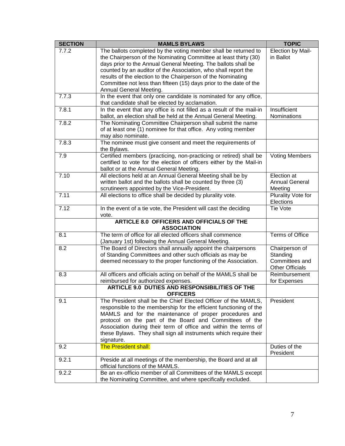| 7.7.2<br>The ballots completed by the voting member shall be returned to<br>Election by Mail-<br>the Chairperson of the Nominating Committee at least thirty (30)<br>in Ballot<br>days prior to the Annual General Meeting. The ballots shall be<br>counted by an auditor of the Association, who shall report the<br>results of the election to the Chairperson of the Nominating<br>Committee not less than fifteen (15) days prior to the date of the<br>Annual General Meeting.<br>7.7.3<br>In the event that only one candidate is nominated for any office,<br>that candidate shall be elected by acclamation.<br>7.8.1<br>In the event that any office is not filled as a result of the mail-in<br>Insufficient<br>ballot, an election shall be held at the Annual General Meeting.<br>Nominations<br>7.8.2<br>The Nominating Committee Chairperson shall submit the name<br>of at least one (1) nominee for that office. Any voting member<br>may also nominate.<br>7.8.3<br>The nominee must give consent and meet the requirements of<br>the Bylaws.<br>Certified members (practicing, non-practicing or retired) shall be<br>7.9<br><b>Voting Members</b><br>certified to vote for the election of officers either by the Mail-in<br>ballot or at the Annual General Meeting.<br>7.10<br>All elections held at an Annual General Meeting shall be by<br>Election at<br>written ballot and the ballots shall be counted by three (3)<br><b>Annual General</b><br>scrutineers appointed by the Vice-President.<br>Meeting<br>7.11<br>All elections to office shall be decided by plurality vote.<br>Plurality Vote for<br>Elections<br>7.12<br>In the event of a tie vote, the President will cast the deciding<br>Tie Vote<br>vote.<br><b>ARTICLE 8.0 OFFICERS AND OFFICIALS OF THE</b><br><b>ASSOCIATION</b><br>The term of office for all elected officers shall commence<br>8.1<br>Terms of Office<br>(January 1st) following the Annual General Meeting.<br>8.2<br>The Board of Directors shall annually appoint the chairpersons<br>Chairperson of<br>of Standing Committees and other such officials as may be<br>Standing<br>deemed necessary to the proper functioning of the Association.<br>Committees and<br><b>Other Officials</b><br>All officers and officials acting on behalf of the MAMLS shall be<br>8.3<br>Reimbursement<br>reimbursed for authorized expenses.<br>for Expenses<br><b>ARTICLE 9.0 DUTIES AND RESPONSIBILITIES OF THE</b><br><b>OFFICERS</b><br>President<br>9.1<br>The President shall be the Chief Elected Officer of the MAMLS,<br>responsible to the membership for the efficient functioning of the<br>MAMLS and for the maintenance of proper procedures and<br>protocol on the part of the Board and Committees of the<br>Association during their term of office and within the terms of<br>these Bylaws. They shall sign all instruments which require their<br>signature.<br><b>The President shall:</b><br>9.2<br>Duties of the<br>President<br>9.2.1<br>Preside at all meetings of the membership, the Board and at all<br>official functions of the MAMLS.<br>9.2.2<br>Be an ex-officio member of all Committees of the MAMLS except | <b>SECTION</b> | <b>MAMLS BYLAWS</b>                                        | <b>TOPIC</b> |
|-----------------------------------------------------------------------------------------------------------------------------------------------------------------------------------------------------------------------------------------------------------------------------------------------------------------------------------------------------------------------------------------------------------------------------------------------------------------------------------------------------------------------------------------------------------------------------------------------------------------------------------------------------------------------------------------------------------------------------------------------------------------------------------------------------------------------------------------------------------------------------------------------------------------------------------------------------------------------------------------------------------------------------------------------------------------------------------------------------------------------------------------------------------------------------------------------------------------------------------------------------------------------------------------------------------------------------------------------------------------------------------------------------------------------------------------------------------------------------------------------------------------------------------------------------------------------------------------------------------------------------------------------------------------------------------------------------------------------------------------------------------------------------------------------------------------------------------------------------------------------------------------------------------------------------------------------------------------------------------------------------------------------------------------------------------------------------------------------------------------------------------------------------------------------------------------------------------------------------------------------------------------------------------------------------------------------------------------------------------------------------------------------------------------------------------------------------------------------------------------------------------------------------------------------------------------------------------------------------------------------------------------------------------------------------------------------------------------------------------------------------------------------------------------------------------------------------------------------------------------------------------------------------------------------------------------------------------------------------------------------------------------------------------------------------------------------------------------------------------------------------------------------------------------------------------------------|----------------|------------------------------------------------------------|--------------|
|                                                                                                                                                                                                                                                                                                                                                                                                                                                                                                                                                                                                                                                                                                                                                                                                                                                                                                                                                                                                                                                                                                                                                                                                                                                                                                                                                                                                                                                                                                                                                                                                                                                                                                                                                                                                                                                                                                                                                                                                                                                                                                                                                                                                                                                                                                                                                                                                                                                                                                                                                                                                                                                                                                                                                                                                                                                                                                                                                                                                                                                                                                                                                                                               |                |                                                            |              |
|                                                                                                                                                                                                                                                                                                                                                                                                                                                                                                                                                                                                                                                                                                                                                                                                                                                                                                                                                                                                                                                                                                                                                                                                                                                                                                                                                                                                                                                                                                                                                                                                                                                                                                                                                                                                                                                                                                                                                                                                                                                                                                                                                                                                                                                                                                                                                                                                                                                                                                                                                                                                                                                                                                                                                                                                                                                                                                                                                                                                                                                                                                                                                                                               |                |                                                            |              |
|                                                                                                                                                                                                                                                                                                                                                                                                                                                                                                                                                                                                                                                                                                                                                                                                                                                                                                                                                                                                                                                                                                                                                                                                                                                                                                                                                                                                                                                                                                                                                                                                                                                                                                                                                                                                                                                                                                                                                                                                                                                                                                                                                                                                                                                                                                                                                                                                                                                                                                                                                                                                                                                                                                                                                                                                                                                                                                                                                                                                                                                                                                                                                                                               |                |                                                            |              |
|                                                                                                                                                                                                                                                                                                                                                                                                                                                                                                                                                                                                                                                                                                                                                                                                                                                                                                                                                                                                                                                                                                                                                                                                                                                                                                                                                                                                                                                                                                                                                                                                                                                                                                                                                                                                                                                                                                                                                                                                                                                                                                                                                                                                                                                                                                                                                                                                                                                                                                                                                                                                                                                                                                                                                                                                                                                                                                                                                                                                                                                                                                                                                                                               |                |                                                            |              |
|                                                                                                                                                                                                                                                                                                                                                                                                                                                                                                                                                                                                                                                                                                                                                                                                                                                                                                                                                                                                                                                                                                                                                                                                                                                                                                                                                                                                                                                                                                                                                                                                                                                                                                                                                                                                                                                                                                                                                                                                                                                                                                                                                                                                                                                                                                                                                                                                                                                                                                                                                                                                                                                                                                                                                                                                                                                                                                                                                                                                                                                                                                                                                                                               |                |                                                            |              |
|                                                                                                                                                                                                                                                                                                                                                                                                                                                                                                                                                                                                                                                                                                                                                                                                                                                                                                                                                                                                                                                                                                                                                                                                                                                                                                                                                                                                                                                                                                                                                                                                                                                                                                                                                                                                                                                                                                                                                                                                                                                                                                                                                                                                                                                                                                                                                                                                                                                                                                                                                                                                                                                                                                                                                                                                                                                                                                                                                                                                                                                                                                                                                                                               |                |                                                            |              |
|                                                                                                                                                                                                                                                                                                                                                                                                                                                                                                                                                                                                                                                                                                                                                                                                                                                                                                                                                                                                                                                                                                                                                                                                                                                                                                                                                                                                                                                                                                                                                                                                                                                                                                                                                                                                                                                                                                                                                                                                                                                                                                                                                                                                                                                                                                                                                                                                                                                                                                                                                                                                                                                                                                                                                                                                                                                                                                                                                                                                                                                                                                                                                                                               |                |                                                            |              |
|                                                                                                                                                                                                                                                                                                                                                                                                                                                                                                                                                                                                                                                                                                                                                                                                                                                                                                                                                                                                                                                                                                                                                                                                                                                                                                                                                                                                                                                                                                                                                                                                                                                                                                                                                                                                                                                                                                                                                                                                                                                                                                                                                                                                                                                                                                                                                                                                                                                                                                                                                                                                                                                                                                                                                                                                                                                                                                                                                                                                                                                                                                                                                                                               |                |                                                            |              |
|                                                                                                                                                                                                                                                                                                                                                                                                                                                                                                                                                                                                                                                                                                                                                                                                                                                                                                                                                                                                                                                                                                                                                                                                                                                                                                                                                                                                                                                                                                                                                                                                                                                                                                                                                                                                                                                                                                                                                                                                                                                                                                                                                                                                                                                                                                                                                                                                                                                                                                                                                                                                                                                                                                                                                                                                                                                                                                                                                                                                                                                                                                                                                                                               |                |                                                            |              |
|                                                                                                                                                                                                                                                                                                                                                                                                                                                                                                                                                                                                                                                                                                                                                                                                                                                                                                                                                                                                                                                                                                                                                                                                                                                                                                                                                                                                                                                                                                                                                                                                                                                                                                                                                                                                                                                                                                                                                                                                                                                                                                                                                                                                                                                                                                                                                                                                                                                                                                                                                                                                                                                                                                                                                                                                                                                                                                                                                                                                                                                                                                                                                                                               |                |                                                            |              |
|                                                                                                                                                                                                                                                                                                                                                                                                                                                                                                                                                                                                                                                                                                                                                                                                                                                                                                                                                                                                                                                                                                                                                                                                                                                                                                                                                                                                                                                                                                                                                                                                                                                                                                                                                                                                                                                                                                                                                                                                                                                                                                                                                                                                                                                                                                                                                                                                                                                                                                                                                                                                                                                                                                                                                                                                                                                                                                                                                                                                                                                                                                                                                                                               |                |                                                            |              |
|                                                                                                                                                                                                                                                                                                                                                                                                                                                                                                                                                                                                                                                                                                                                                                                                                                                                                                                                                                                                                                                                                                                                                                                                                                                                                                                                                                                                                                                                                                                                                                                                                                                                                                                                                                                                                                                                                                                                                                                                                                                                                                                                                                                                                                                                                                                                                                                                                                                                                                                                                                                                                                                                                                                                                                                                                                                                                                                                                                                                                                                                                                                                                                                               |                |                                                            |              |
|                                                                                                                                                                                                                                                                                                                                                                                                                                                                                                                                                                                                                                                                                                                                                                                                                                                                                                                                                                                                                                                                                                                                                                                                                                                                                                                                                                                                                                                                                                                                                                                                                                                                                                                                                                                                                                                                                                                                                                                                                                                                                                                                                                                                                                                                                                                                                                                                                                                                                                                                                                                                                                                                                                                                                                                                                                                                                                                                                                                                                                                                                                                                                                                               |                |                                                            |              |
|                                                                                                                                                                                                                                                                                                                                                                                                                                                                                                                                                                                                                                                                                                                                                                                                                                                                                                                                                                                                                                                                                                                                                                                                                                                                                                                                                                                                                                                                                                                                                                                                                                                                                                                                                                                                                                                                                                                                                                                                                                                                                                                                                                                                                                                                                                                                                                                                                                                                                                                                                                                                                                                                                                                                                                                                                                                                                                                                                                                                                                                                                                                                                                                               |                |                                                            |              |
|                                                                                                                                                                                                                                                                                                                                                                                                                                                                                                                                                                                                                                                                                                                                                                                                                                                                                                                                                                                                                                                                                                                                                                                                                                                                                                                                                                                                                                                                                                                                                                                                                                                                                                                                                                                                                                                                                                                                                                                                                                                                                                                                                                                                                                                                                                                                                                                                                                                                                                                                                                                                                                                                                                                                                                                                                                                                                                                                                                                                                                                                                                                                                                                               |                |                                                            |              |
|                                                                                                                                                                                                                                                                                                                                                                                                                                                                                                                                                                                                                                                                                                                                                                                                                                                                                                                                                                                                                                                                                                                                                                                                                                                                                                                                                                                                                                                                                                                                                                                                                                                                                                                                                                                                                                                                                                                                                                                                                                                                                                                                                                                                                                                                                                                                                                                                                                                                                                                                                                                                                                                                                                                                                                                                                                                                                                                                                                                                                                                                                                                                                                                               |                |                                                            |              |
|                                                                                                                                                                                                                                                                                                                                                                                                                                                                                                                                                                                                                                                                                                                                                                                                                                                                                                                                                                                                                                                                                                                                                                                                                                                                                                                                                                                                                                                                                                                                                                                                                                                                                                                                                                                                                                                                                                                                                                                                                                                                                                                                                                                                                                                                                                                                                                                                                                                                                                                                                                                                                                                                                                                                                                                                                                                                                                                                                                                                                                                                                                                                                                                               |                |                                                            |              |
|                                                                                                                                                                                                                                                                                                                                                                                                                                                                                                                                                                                                                                                                                                                                                                                                                                                                                                                                                                                                                                                                                                                                                                                                                                                                                                                                                                                                                                                                                                                                                                                                                                                                                                                                                                                                                                                                                                                                                                                                                                                                                                                                                                                                                                                                                                                                                                                                                                                                                                                                                                                                                                                                                                                                                                                                                                                                                                                                                                                                                                                                                                                                                                                               |                |                                                            |              |
|                                                                                                                                                                                                                                                                                                                                                                                                                                                                                                                                                                                                                                                                                                                                                                                                                                                                                                                                                                                                                                                                                                                                                                                                                                                                                                                                                                                                                                                                                                                                                                                                                                                                                                                                                                                                                                                                                                                                                                                                                                                                                                                                                                                                                                                                                                                                                                                                                                                                                                                                                                                                                                                                                                                                                                                                                                                                                                                                                                                                                                                                                                                                                                                               |                |                                                            |              |
|                                                                                                                                                                                                                                                                                                                                                                                                                                                                                                                                                                                                                                                                                                                                                                                                                                                                                                                                                                                                                                                                                                                                                                                                                                                                                                                                                                                                                                                                                                                                                                                                                                                                                                                                                                                                                                                                                                                                                                                                                                                                                                                                                                                                                                                                                                                                                                                                                                                                                                                                                                                                                                                                                                                                                                                                                                                                                                                                                                                                                                                                                                                                                                                               |                |                                                            |              |
|                                                                                                                                                                                                                                                                                                                                                                                                                                                                                                                                                                                                                                                                                                                                                                                                                                                                                                                                                                                                                                                                                                                                                                                                                                                                                                                                                                                                                                                                                                                                                                                                                                                                                                                                                                                                                                                                                                                                                                                                                                                                                                                                                                                                                                                                                                                                                                                                                                                                                                                                                                                                                                                                                                                                                                                                                                                                                                                                                                                                                                                                                                                                                                                               |                |                                                            |              |
|                                                                                                                                                                                                                                                                                                                                                                                                                                                                                                                                                                                                                                                                                                                                                                                                                                                                                                                                                                                                                                                                                                                                                                                                                                                                                                                                                                                                                                                                                                                                                                                                                                                                                                                                                                                                                                                                                                                                                                                                                                                                                                                                                                                                                                                                                                                                                                                                                                                                                                                                                                                                                                                                                                                                                                                                                                                                                                                                                                                                                                                                                                                                                                                               |                |                                                            |              |
|                                                                                                                                                                                                                                                                                                                                                                                                                                                                                                                                                                                                                                                                                                                                                                                                                                                                                                                                                                                                                                                                                                                                                                                                                                                                                                                                                                                                                                                                                                                                                                                                                                                                                                                                                                                                                                                                                                                                                                                                                                                                                                                                                                                                                                                                                                                                                                                                                                                                                                                                                                                                                                                                                                                                                                                                                                                                                                                                                                                                                                                                                                                                                                                               |                |                                                            |              |
|                                                                                                                                                                                                                                                                                                                                                                                                                                                                                                                                                                                                                                                                                                                                                                                                                                                                                                                                                                                                                                                                                                                                                                                                                                                                                                                                                                                                                                                                                                                                                                                                                                                                                                                                                                                                                                                                                                                                                                                                                                                                                                                                                                                                                                                                                                                                                                                                                                                                                                                                                                                                                                                                                                                                                                                                                                                                                                                                                                                                                                                                                                                                                                                               |                |                                                            |              |
|                                                                                                                                                                                                                                                                                                                                                                                                                                                                                                                                                                                                                                                                                                                                                                                                                                                                                                                                                                                                                                                                                                                                                                                                                                                                                                                                                                                                                                                                                                                                                                                                                                                                                                                                                                                                                                                                                                                                                                                                                                                                                                                                                                                                                                                                                                                                                                                                                                                                                                                                                                                                                                                                                                                                                                                                                                                                                                                                                                                                                                                                                                                                                                                               |                |                                                            |              |
|                                                                                                                                                                                                                                                                                                                                                                                                                                                                                                                                                                                                                                                                                                                                                                                                                                                                                                                                                                                                                                                                                                                                                                                                                                                                                                                                                                                                                                                                                                                                                                                                                                                                                                                                                                                                                                                                                                                                                                                                                                                                                                                                                                                                                                                                                                                                                                                                                                                                                                                                                                                                                                                                                                                                                                                                                                                                                                                                                                                                                                                                                                                                                                                               |                |                                                            |              |
|                                                                                                                                                                                                                                                                                                                                                                                                                                                                                                                                                                                                                                                                                                                                                                                                                                                                                                                                                                                                                                                                                                                                                                                                                                                                                                                                                                                                                                                                                                                                                                                                                                                                                                                                                                                                                                                                                                                                                                                                                                                                                                                                                                                                                                                                                                                                                                                                                                                                                                                                                                                                                                                                                                                                                                                                                                                                                                                                                                                                                                                                                                                                                                                               |                |                                                            |              |
|                                                                                                                                                                                                                                                                                                                                                                                                                                                                                                                                                                                                                                                                                                                                                                                                                                                                                                                                                                                                                                                                                                                                                                                                                                                                                                                                                                                                                                                                                                                                                                                                                                                                                                                                                                                                                                                                                                                                                                                                                                                                                                                                                                                                                                                                                                                                                                                                                                                                                                                                                                                                                                                                                                                                                                                                                                                                                                                                                                                                                                                                                                                                                                                               |                |                                                            |              |
|                                                                                                                                                                                                                                                                                                                                                                                                                                                                                                                                                                                                                                                                                                                                                                                                                                                                                                                                                                                                                                                                                                                                                                                                                                                                                                                                                                                                                                                                                                                                                                                                                                                                                                                                                                                                                                                                                                                                                                                                                                                                                                                                                                                                                                                                                                                                                                                                                                                                                                                                                                                                                                                                                                                                                                                                                                                                                                                                                                                                                                                                                                                                                                                               |                |                                                            |              |
|                                                                                                                                                                                                                                                                                                                                                                                                                                                                                                                                                                                                                                                                                                                                                                                                                                                                                                                                                                                                                                                                                                                                                                                                                                                                                                                                                                                                                                                                                                                                                                                                                                                                                                                                                                                                                                                                                                                                                                                                                                                                                                                                                                                                                                                                                                                                                                                                                                                                                                                                                                                                                                                                                                                                                                                                                                                                                                                                                                                                                                                                                                                                                                                               |                |                                                            |              |
|                                                                                                                                                                                                                                                                                                                                                                                                                                                                                                                                                                                                                                                                                                                                                                                                                                                                                                                                                                                                                                                                                                                                                                                                                                                                                                                                                                                                                                                                                                                                                                                                                                                                                                                                                                                                                                                                                                                                                                                                                                                                                                                                                                                                                                                                                                                                                                                                                                                                                                                                                                                                                                                                                                                                                                                                                                                                                                                                                                                                                                                                                                                                                                                               |                |                                                            |              |
|                                                                                                                                                                                                                                                                                                                                                                                                                                                                                                                                                                                                                                                                                                                                                                                                                                                                                                                                                                                                                                                                                                                                                                                                                                                                                                                                                                                                                                                                                                                                                                                                                                                                                                                                                                                                                                                                                                                                                                                                                                                                                                                                                                                                                                                                                                                                                                                                                                                                                                                                                                                                                                                                                                                                                                                                                                                                                                                                                                                                                                                                                                                                                                                               |                |                                                            |              |
|                                                                                                                                                                                                                                                                                                                                                                                                                                                                                                                                                                                                                                                                                                                                                                                                                                                                                                                                                                                                                                                                                                                                                                                                                                                                                                                                                                                                                                                                                                                                                                                                                                                                                                                                                                                                                                                                                                                                                                                                                                                                                                                                                                                                                                                                                                                                                                                                                                                                                                                                                                                                                                                                                                                                                                                                                                                                                                                                                                                                                                                                                                                                                                                               |                |                                                            |              |
|                                                                                                                                                                                                                                                                                                                                                                                                                                                                                                                                                                                                                                                                                                                                                                                                                                                                                                                                                                                                                                                                                                                                                                                                                                                                                                                                                                                                                                                                                                                                                                                                                                                                                                                                                                                                                                                                                                                                                                                                                                                                                                                                                                                                                                                                                                                                                                                                                                                                                                                                                                                                                                                                                                                                                                                                                                                                                                                                                                                                                                                                                                                                                                                               |                |                                                            |              |
|                                                                                                                                                                                                                                                                                                                                                                                                                                                                                                                                                                                                                                                                                                                                                                                                                                                                                                                                                                                                                                                                                                                                                                                                                                                                                                                                                                                                                                                                                                                                                                                                                                                                                                                                                                                                                                                                                                                                                                                                                                                                                                                                                                                                                                                                                                                                                                                                                                                                                                                                                                                                                                                                                                                                                                                                                                                                                                                                                                                                                                                                                                                                                                                               |                |                                                            |              |
|                                                                                                                                                                                                                                                                                                                                                                                                                                                                                                                                                                                                                                                                                                                                                                                                                                                                                                                                                                                                                                                                                                                                                                                                                                                                                                                                                                                                                                                                                                                                                                                                                                                                                                                                                                                                                                                                                                                                                                                                                                                                                                                                                                                                                                                                                                                                                                                                                                                                                                                                                                                                                                                                                                                                                                                                                                                                                                                                                                                                                                                                                                                                                                                               |                |                                                            |              |
|                                                                                                                                                                                                                                                                                                                                                                                                                                                                                                                                                                                                                                                                                                                                                                                                                                                                                                                                                                                                                                                                                                                                                                                                                                                                                                                                                                                                                                                                                                                                                                                                                                                                                                                                                                                                                                                                                                                                                                                                                                                                                                                                                                                                                                                                                                                                                                                                                                                                                                                                                                                                                                                                                                                                                                                                                                                                                                                                                                                                                                                                                                                                                                                               |                |                                                            |              |
|                                                                                                                                                                                                                                                                                                                                                                                                                                                                                                                                                                                                                                                                                                                                                                                                                                                                                                                                                                                                                                                                                                                                                                                                                                                                                                                                                                                                                                                                                                                                                                                                                                                                                                                                                                                                                                                                                                                                                                                                                                                                                                                                                                                                                                                                                                                                                                                                                                                                                                                                                                                                                                                                                                                                                                                                                                                                                                                                                                                                                                                                                                                                                                                               |                |                                                            |              |
|                                                                                                                                                                                                                                                                                                                                                                                                                                                                                                                                                                                                                                                                                                                                                                                                                                                                                                                                                                                                                                                                                                                                                                                                                                                                                                                                                                                                                                                                                                                                                                                                                                                                                                                                                                                                                                                                                                                                                                                                                                                                                                                                                                                                                                                                                                                                                                                                                                                                                                                                                                                                                                                                                                                                                                                                                                                                                                                                                                                                                                                                                                                                                                                               |                |                                                            |              |
|                                                                                                                                                                                                                                                                                                                                                                                                                                                                                                                                                                                                                                                                                                                                                                                                                                                                                                                                                                                                                                                                                                                                                                                                                                                                                                                                                                                                                                                                                                                                                                                                                                                                                                                                                                                                                                                                                                                                                                                                                                                                                                                                                                                                                                                                                                                                                                                                                                                                                                                                                                                                                                                                                                                                                                                                                                                                                                                                                                                                                                                                                                                                                                                               |                |                                                            |              |
|                                                                                                                                                                                                                                                                                                                                                                                                                                                                                                                                                                                                                                                                                                                                                                                                                                                                                                                                                                                                                                                                                                                                                                                                                                                                                                                                                                                                                                                                                                                                                                                                                                                                                                                                                                                                                                                                                                                                                                                                                                                                                                                                                                                                                                                                                                                                                                                                                                                                                                                                                                                                                                                                                                                                                                                                                                                                                                                                                                                                                                                                                                                                                                                               |                |                                                            |              |
|                                                                                                                                                                                                                                                                                                                                                                                                                                                                                                                                                                                                                                                                                                                                                                                                                                                                                                                                                                                                                                                                                                                                                                                                                                                                                                                                                                                                                                                                                                                                                                                                                                                                                                                                                                                                                                                                                                                                                                                                                                                                                                                                                                                                                                                                                                                                                                                                                                                                                                                                                                                                                                                                                                                                                                                                                                                                                                                                                                                                                                                                                                                                                                                               |                |                                                            |              |
|                                                                                                                                                                                                                                                                                                                                                                                                                                                                                                                                                                                                                                                                                                                                                                                                                                                                                                                                                                                                                                                                                                                                                                                                                                                                                                                                                                                                                                                                                                                                                                                                                                                                                                                                                                                                                                                                                                                                                                                                                                                                                                                                                                                                                                                                                                                                                                                                                                                                                                                                                                                                                                                                                                                                                                                                                                                                                                                                                                                                                                                                                                                                                                                               |                |                                                            |              |
|                                                                                                                                                                                                                                                                                                                                                                                                                                                                                                                                                                                                                                                                                                                                                                                                                                                                                                                                                                                                                                                                                                                                                                                                                                                                                                                                                                                                                                                                                                                                                                                                                                                                                                                                                                                                                                                                                                                                                                                                                                                                                                                                                                                                                                                                                                                                                                                                                                                                                                                                                                                                                                                                                                                                                                                                                                                                                                                                                                                                                                                                                                                                                                                               |                | the Nominating Committee, and where specifically excluded. |              |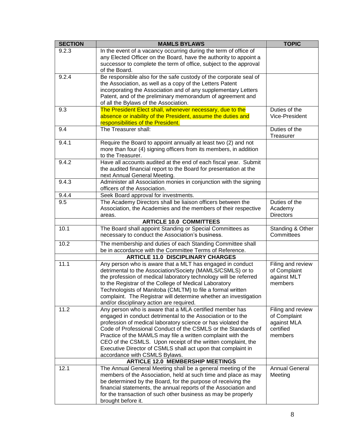| <b>TOPIC</b>                |
|-----------------------------|
|                             |
|                             |
|                             |
|                             |
|                             |
|                             |
|                             |
| Duties of the               |
| Vice-President              |
|                             |
| Duties of the<br>Treasurer  |
|                             |
|                             |
|                             |
|                             |
|                             |
|                             |
|                             |
|                             |
|                             |
| Duties of the               |
| Academy<br><b>Directors</b> |
|                             |
| Standing & Other            |
| Committees                  |
|                             |
|                             |
|                             |
| Filing and review           |
| of Complaint<br>against MLT |
| members                     |
|                             |
|                             |
|                             |
| Filing and review           |
| of Complaint                |
| against MLA                 |
| certified                   |
| members                     |
|                             |
|                             |
|                             |
|                             |
| <b>Annual General</b>       |
| Meeting                     |
|                             |
|                             |
|                             |
|                             |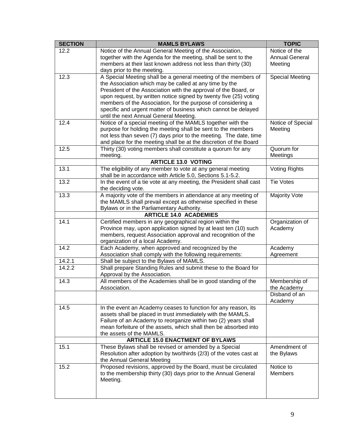| <b>SECTION</b> | <b>MAMLS BYLAWS</b>                                                                                                                  | <b>TOPIC</b>                 |
|----------------|--------------------------------------------------------------------------------------------------------------------------------------|------------------------------|
| 12.2           | Notice of the Annual General Meeting of the Association,                                                                             | Notice of the                |
|                | together with the Agenda for the meeting, shall be sent to the                                                                       | <b>Annual General</b>        |
|                | members at their last known address not less than thirty (30)                                                                        | Meeting                      |
|                | days prior to the meeting.                                                                                                           |                              |
| 12.3           | A Special Meeting shall be a general meeting of the members of                                                                       | <b>Special Meeting</b>       |
|                | the Association which may be called at any time by the                                                                               |                              |
|                | President of the Association with the approval of the Board, or<br>upon request, by written notice signed by twenty five (25) voting |                              |
|                | members of the Association, for the purpose of considering a                                                                         |                              |
|                | specific and urgent matter of business which cannot be delayed                                                                       |                              |
|                | until the next Annual General Meeting.                                                                                               |                              |
| 12.4           | Notice of a special meeting of the MAMLS together with the                                                                           | Notice of Special            |
|                | purpose for holding the meeting shall be sent to the members                                                                         | Meeting                      |
|                | not less than seven (7) days prior to the meeting. The date, time                                                                    |                              |
|                | and place for the meeting shall be at the discretion of the Board                                                                    |                              |
| 12.5           | Thirty (30) voting members shall constitute a quorum for any                                                                         | Quorum for                   |
|                | meeting.                                                                                                                             | Meetings                     |
|                | <b>ARTICLE 13.0 VOTING</b>                                                                                                           |                              |
| 13.1           | The eligibility of any member to vote at any general meeting                                                                         | <b>Voting Rights</b>         |
|                | shall be in accordance with Article 5.0, Sections 5.1-5.2.                                                                           | <b>Tie Votes</b>             |
| 13.2           | In the event of a tie vote at any meeting, the President shall cast<br>the deciding vote.                                            |                              |
| 13.3           | A majority vote of the members in attendance at any meeting of                                                                       | Majority Vote                |
|                | the MAMLS shall prevail except as otherwise specified in these                                                                       |                              |
|                | Bylaws or in the Parliamentary Authority.                                                                                            |                              |
|                | <b>ARTICLE 14.0 ACADEMIES</b>                                                                                                        |                              |
| 14.1           | Certified members in any geographical region within the                                                                              | Organization of              |
|                | Province may, upon application signed by at least ten (10) such                                                                      | Academy                      |
|                | members, request Association approval and recognition of the                                                                         |                              |
|                | organization of a local Academy.                                                                                                     |                              |
| 14.2           | Each Academy, when approved and recognized by the                                                                                    | Academy                      |
|                | Association shall comply with the following requirements:                                                                            | Agreement                    |
| 14.2.1         | Shall be subject to the Bylaws of MAMLS.                                                                                             |                              |
| 14.2.2         | Shall prepare Standing Rules and submit these to the Board for                                                                       |                              |
|                | Approval by the Association.                                                                                                         |                              |
| 14.3           | All members of the Academies shall be in good standing of the<br>Association.                                                        | Membership of<br>the Academy |
|                |                                                                                                                                      | Disband of an                |
|                |                                                                                                                                      | Academy                      |
| 14.5           | In the event an Academy ceases to function for any reason, its                                                                       |                              |
|                | assets shall be placed in trust immediately with the MAMLS.                                                                          |                              |
|                | Failure of an Academy to reorganize within two (2) years shall                                                                       |                              |
|                | mean forfeiture of the assets, which shall then be absorbed into                                                                     |                              |
|                | the assets of the MAMLS.                                                                                                             |                              |
|                | <b>ARTICLE 15.0 ENACTMENT OF BYLAWS</b>                                                                                              |                              |
| 15.1           | These Bylaws shall be revised or amended by a Special                                                                                | Amendment of                 |
|                | Resolution after adoption by two/thirds (2/3) of the votes cast at                                                                   | the Bylaws                   |
| 15.2           | the Annual General Meeting                                                                                                           | Notice to                    |
|                | Proposed revisions, approved by the Board, must be circulated<br>to the membership thirty (30) days prior to the Annual General      | <b>Members</b>               |
|                | Meeting.                                                                                                                             |                              |
|                |                                                                                                                                      |                              |
|                |                                                                                                                                      |                              |
|                |                                                                                                                                      |                              |